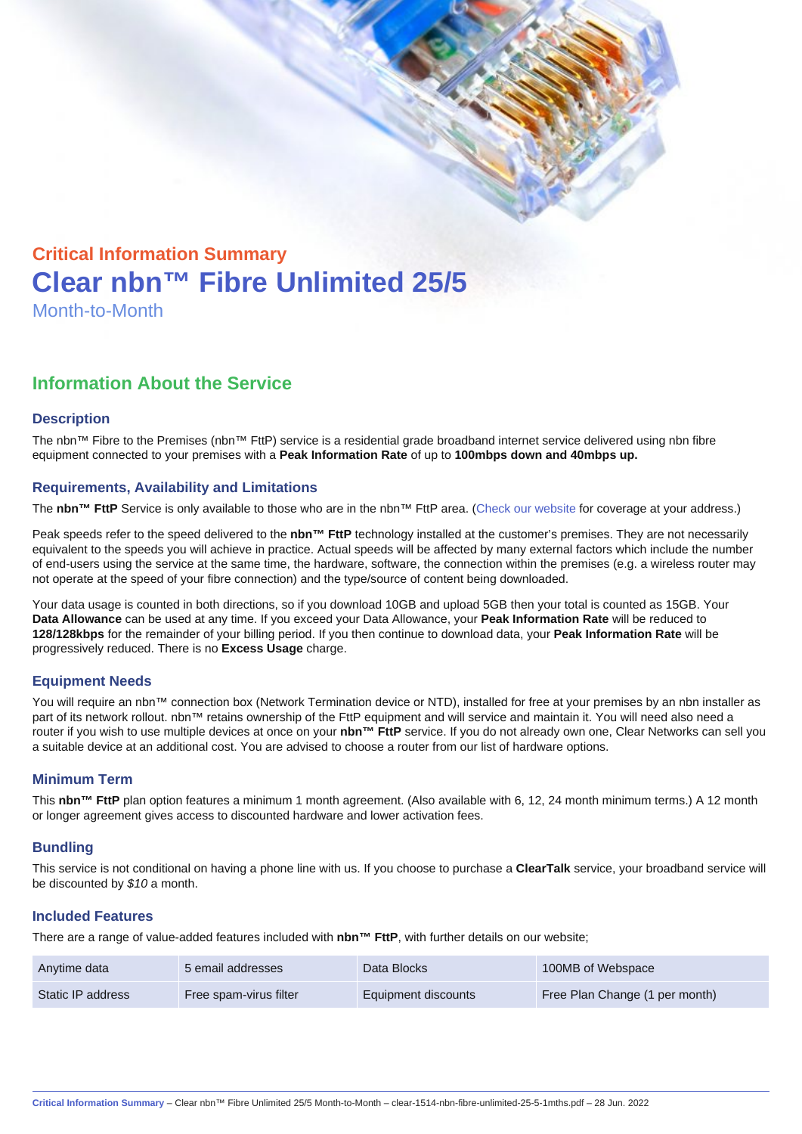# Critical Information Summary Clear nbn™ Fibre Unlimited 25/5 Month-to-Month

## Information About the Service

#### **Description**

The nbn™ Fibre to the Premises (nbn™ FttP) service is a residential grade broadband internet service delivered using nbn fibre equipment connected to your premises with a Peak Information Rate of up to 100mbps down and 40mbps up.

#### Requirements, Availability and Limitations

The nbn™ FttP Service is only available to those who are in the nbn™ FttP area. ([Check our website](https://www.clear.com.au/residential/nbn-fixed/) for coverage at your address.)

Peak speeds refer to the speed delivered to the nbn™ FttP technology installed at the customer's premises. They are not necessarily equivalent to the speeds you will achieve in practice. Actual speeds will be affected by many external factors which include the number of end-users using the service at the same time, the hardware, software, the connection within the premises (e.g. a wireless router may not operate at the speed of your fibre connection) and the type/source of content being downloaded.

Your data usage is counted in both directions, so if you download 10GB and upload 5GB then your total is counted as 15GB. Your Data Allowance can be used at any time. If you exceed your Data Allowance, your Peak Information Rate will be reduced to 128/128kbps for the remainder of your billing period. If you then continue to download data, your Peak Information Rate will be progressively reduced. There is no Excess Usage charge.

#### Equipment Needs

You will require an nbn™ connection box (Network Termination device or NTD), installed for free at your premises by an nbn installer as part of its network rollout. nbn™ retains ownership of the FttP equipment and will service and maintain it. You will need also need a router if you wish to use multiple devices at once on your nbn™ FttP service. If you do not already own one, Clear Networks can sell you a suitable device at an additional cost. You are advised to choose a router from our list of hardware options.

#### Minimum Term

This nbn™ FttP plan option features a minimum 1 month agreement. (Also available with 6, 12, 24 month minimum terms.) A 12 month or longer agreement gives access to discounted hardware and lower activation fees.

#### **Bundling**

This service is not conditional on having a phone line with us. If you choose to purchase a ClearTalk service, your broadband service will be discounted by \$10 a month.

#### Included Features

There are a range of value-added features included with nbn™ FttP , with further details on our website;

| Anytime data      | 5 email addresses      | Data Blocks         | 100MB of Webspace              |
|-------------------|------------------------|---------------------|--------------------------------|
| Static IP address | Free spam-virus filter | Equipment discounts | Free Plan Change (1 per month) |